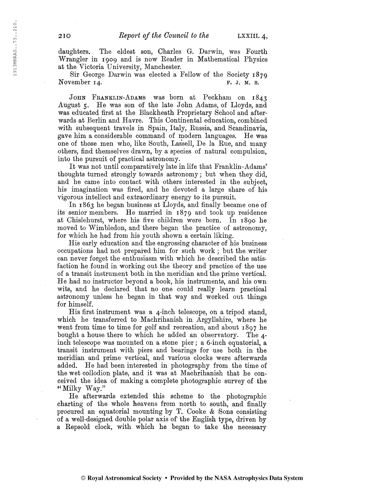daughters. The eldest son, Charles G. Darwin, was Fourth Wrangler in 1909 and is now Reader in Mathematical Physics at the Victoria University, Manchester.

Sir George Darwin was elected a Fellow of the Society 1879 November 14.  $\blacksquare$  F. J. M. S.

John Franklin-Adams was born at Peckham on 1843 August 5. He was son of the late John Adams, of Lloyds, and was educated first at the Elackheath Proprietary School and afterwards at Berlin and Havre. This Continental education, combined with subsequent travels in Spain, Italy, Russia, and Scandinavia, gave him a considerable command of modern languages. He was one of those men who, like South, Lassell, De la Rue, and many others, find themselves drawn, by a species of natural compulsion, into the pursuit of practical astronomy.

It was not until comparatively late in life that Franklin-Adams' thoughts turned strongly towards astronomy ; but when they did, and he came into contact with others interested in the subject, his imagination was fired, and he devoted a large share of his vigorous intellect and extraordinary energy to its pursuit.

In 1863 he began business at Lloyds, and finally became one of its senior members. He married in 1879 and took up residence at Chislehurst, where his five children were born. In 1890 he moved to Wimbledon, and there began the practice of astronomy, for which he had from his youth shown a certain liking.

His early education and the engrossing character of his business occupations had not prepared him for such work ; but the writer can never forget the enthusiasm with which he described the satisfaction he found in working out the theory and practice of the use of a transit instrument both in the meridian and the prime vertical. He had no instructor beyond a book, his instruments, and his own wits, and he declared that no one could really learn practical astronomy unless he began in that way and worked out things for himself.

His first instrument was a 4-inch telescope, on a tripod stand, which he transferred to Machrihanish in Argyllshire, where he went from time to time for golf and recreation, and about 1897 he bought a house there to which he added an observatory. The 4 inch telescope was mounted on a stone pier ; a 6-inch equatorial, a transit instrument with piers and bearings for use both in the meridian and prime vertical, and various clocks were afterwards added. He had been interested in photography from the time of the wet collodion plate, and it was at Machrihanish that he conceived the idea of making a complete photographic survey of the " Milky Way."

He afterwards extended this scheme to the photographic charting of the whole heavens from north to south, and finally procured an equatorial mounting by T. Cooke & Sons consisting of a well-designed double polar axis of\* the English type, driven by a Repsold clock, with which he began to take the necessary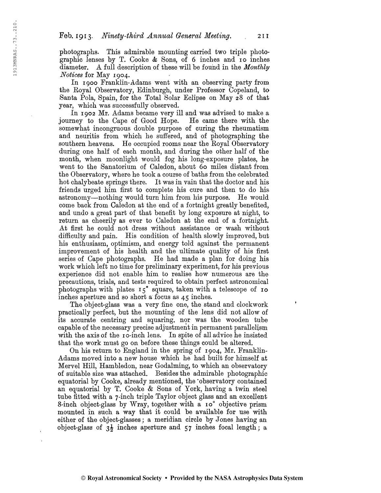photographs. This admirable mounting carried two triple photographic lenses by T. Cooke  $\&$  Sons, of 6 inches and 10 inches diameter. A full description of these will be found in the *Monthly* Notices for May 1904.

In 1900 Franklin-Adams went with an observing party from the Eoyal Observatory, Edinburgh, under Professor Copeland, to Santa Pola, Spain, for the Total Solar Eclipse on May 28 of that year, which was successfully observed.

In 1902 Mr. Adams became very ill and was advised to make a journey to the Cape of Good Hope. somewhat incongruous double purpose of curing the rheumatism and neuritis from which he suffered, and of photographing the southern heavens. He occupied rooms near the Royal Observatory during one half of each month, and during the other half of the month, when moonlight would fog his long-exposure plates, he went to the Sanatorium of Caledon, about 60 miles distant from the Observatory, where he took a course of baths from the celebrated hot chalybeate springs there. It was in vain that the doctor and his friends urged him first to complete his cure and then to do his astronomy—nothing would turn him from his purpose. He would come back from Caledon at the end of a fortnight greatly benefited, and undo a great part of that benefit by long exposure at night, to return as cheerily as ever to Caledon at the end of a fortnight. At first he could not dress without assistance or wash without difficulty and pain. His condition of health slowly improved, but his enthusiasm, optimism, and energy told against the permanent improvement of his health and the ultimate quality of his first series of Cape photographs. He had made a plan for doing his work which left no time for preliminary experiment, for his previous experience did not enable him to realise how numerous are the precautions, trials, and tests required to obtain perfect astronomical photographs with plates  $15°$  square, taken with a telescope of  $10$ inches aperture and so short a focus as 45 inches.

The object-glass was a very fine one, the stand and clockwork practically perfect, but the mounting of the lens did not allow of its accurate centring and squaring, nor was the wooden tube capable of the necessary precise adjustmentin permanent parallelism with the axis of the 10-inch lens. In spite of all advice he insisted that the work must go on before these things could be altered.

On his return to England in the spring of 1904, Mr. Franklin-Adams moved into a new house which he had built for himself at Mervel Hill, Hambledon, near Godaiming, to which an observatory of suitable size was attached. Besides the admirable photographic equatorial by Cooke, already mentioned, the 'observatory contained an equatorial by T. Cooke & Sons of York, having a twin steel tube fitted with a 7-inch triple Taylor object glass and an excellent 8-inch object-glass by Wray, together with a io° objective prism mounted in such a way that it could be available for use with either of the object-glasses ; a meridian circle by Jones having an object-glass of  $3\frac{1}{2}$  inches aperture and 57 inches focal length; a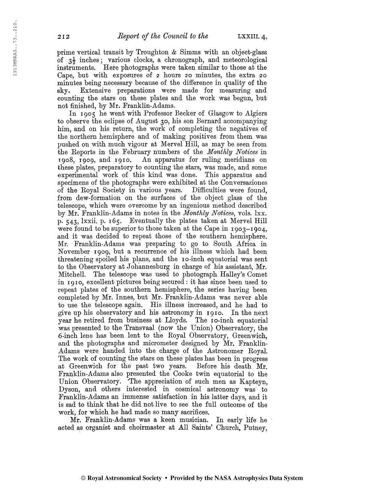prime vertical transit by Troughton & Simms with an object-glass of  $3\frac{1}{2}$  inches; various clocks, a chronograph, and meteorological instruments. Here photographs were taken similar to those at the Cape, but with exposures of 2 hours 20 minutes, the extra 20 minutes being necessary because of the difference in quality of the sky. Extensive preparations were made for measuring and counting the stars on these plates and the work was begun, but not finished, by Mr. Franklin-Adams.

In 1905 he went with Professor Becker of Glasgow to Algiers to observe the eclipse of August 30, his son Bernard accompanying him, and on his return, the work of completing the negatives of the northern hemisphere and of making positives from them was pushed on with much vigour at Mervel Hill, as may be seen from the Reports in the February numbers of the *Monthly Notices* in 1908, 1909, and 1910. An apparatus for ruling meridians on these plates, preparatory to counting the stars, was made, and some experimental work of this kind was done. This apparatus and specimens of the photographs were exhibited at the Conversaziones of the Royal Society in various years. Difficulties were found, from dew-formation on the surfaces of the object glass of the telescope, which were overcome by an ingenious method described by Mr. Franklin-Adams in notes in the Monthly Notices, vols. Ixx. p. 543, Ixxii. p. 165. Eventually the plates taken at Mervel Hill were found to be superior to those taken at the Cape in 1903-1904, and it was decided to repeat those of the southern hemisphere. Mr. Franklin-Adams was preparing to go to South Africa in November 1909, but a recurrence of his illness which had been threatening spoiled his plans, and the 10-inch equatorial was sent to the Observatory at Johannesburg in charge of his assistant, Mr. Mitchell. The telescope was used to photograph Halley's Comet in 1910, excellent pictures being secured : it has since been used to repeat plates of the southern hemisphere, the series having been completed by Mr. Innes, but Mr. Franklin-Adams was never able to use the telescope again. His illness increased, and he had to give up his observatory and his astronomy in 1910. In the next year he retired from business at Lloyds. The 10-inch equatorial was presented to the Transvaal (now the Union) Observatory, the 6-inch lens has been lent to the Royal Observatory, Greenwich, and the photographs and micrometer designed by Mr. Franklin-Adams were handed into the charge of the Astronomer Royal. The work of counting the stars on these plates has been in progress at Greenwich for the past two years. Before his death Mr. Franklin-Adams also presented the Cooke twin equatorial to the Union Observatory. 'The appreciation of such men as Kapteyn, Dyson, and others interested in cosmical astronomy was to Franklin-Adams an immense satisfaction in his latter days, and it is sad to think that he did not live to see the full outcome of the work, for which he had made so many sacrifices.

Mr. Franklin-Adams was a keen musician. In early life he acted as organist and choirmaster at All Saints' Church, Putney,